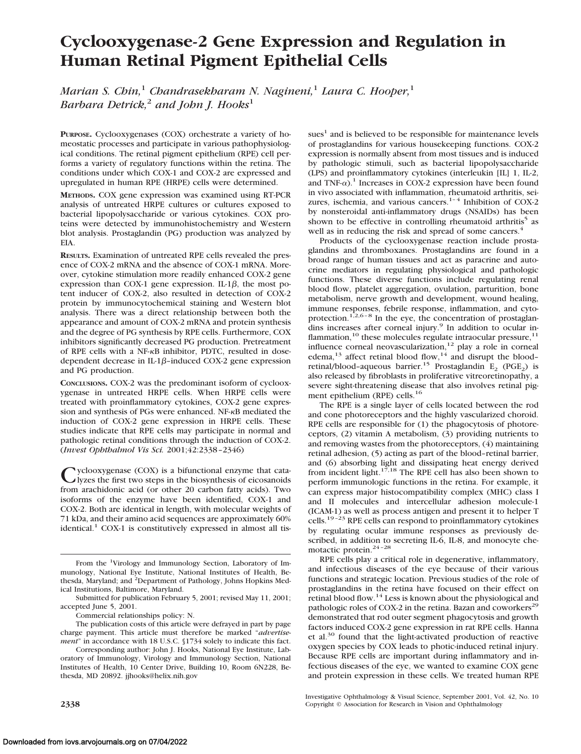# **Cyclooxygenase-2 Gene Expression and Regulation in Human Retinal Pigment Epithelial Cells**

*Marian S. Chin,*<sup>1</sup> *Chandrasekharam N. Nagineni,*<sup>1</sup> *Laura C. Hooper,*<sup>1</sup> *Barbara Detrick*<sup>2</sup> *and John J. Hooks*<sup>1</sup>

**PURPOSE.** Cyclooxygenases (COX) orchestrate a variety of homeostatic processes and participate in various pathophysiological conditions. The retinal pigment epithelium (RPE) cell performs a variety of regulatory functions within the retina. The conditions under which COX-1 and COX-2 are expressed and upregulated in human RPE (HRPE) cells were determined.

**METHODS.** COX gene expression was examined using RT-PCR analysis of untreated HRPE cultures or cultures exposed to bacterial lipopolysaccharide or various cytokines. COX proteins were detected by immunohistochemistry and Western blot analysis. Prostaglandin (PG) production was analyzed by EIA.

**RESULTS.** Examination of untreated RPE cells revealed the presence of COX-2 mRNA and the absence of COX-1 mRNA. Moreover, cytokine stimulation more readily enhanced COX-2 gene expression than COX-1 gene expression. IL-1 $\beta$ , the most potent inducer of COX-2, also resulted in detection of COX-2 protein by immunocytochemical staining and Western blot analysis. There was a direct relationship between both the appearance and amount of COX-2 mRNA and protein synthesis and the degree of PG synthesis by RPE cells. Furthermore, COX inhibitors significantly decreased PG production. Pretreatment of RPE cells with a NF-kB inhibitor, PDTC, resulted in dosedependent decrease in IL-1 $\beta$ -induced COX-2 gene expression and PG production.

**CONCLUSIONS.** COX-2 was the predominant isoform of cyclooxygenase in untreated HRPE cells. When HRPE cells were treated with proinflammatory cytokines, COX-2 gene expression and synthesis of PGs were enhanced. NF-kB mediated the induction of COX-2 gene expression in HRPE cells. These studies indicate that RPE cells may participate in normal and pathologic retinal conditions through the induction of COX-2. (*Invest Ophthalmol Vis Sci.* 2001;42:2338–2346)

Cyclooxygenase (COX) is a bifunctional enzyme that cata-<br>Lyzes the first two steps in the biosynthesis of eicosanoids from arachidonic acid (or other 20 carbon fatty acids). Two isoforms of the enzyme have been identified, COX-1 and COX-2. Both are identical in length, with molecular weights of 71 kDa, and their amino acid sequences are approximately 60% identical. $1$  COX-1 is constitutively expressed in almost all tis-

 $sues<sup>1</sup>$  and is believed to be responsible for maintenance levels of prostaglandins for various housekeeping functions. COX-2 expression is normally absent from most tissues and is induced by pathologic stimuli, such as bacterial lipopolysaccharide (LPS) and proinflammatory cytokines (interleukin [IL] 1, IL-2, and TNF- $\alpha$ ).<sup>1</sup> Increases in COX-2 expression have been found in vivo associated with inflammation, rheumatoid arthritis, seizures, ischemia, and various cancers.<sup>1-4</sup> Inhibition of COX-2 by nonsteroidal anti-inflammatory drugs (NSAIDs) has been shown to be effective in controlling rheumatoid arthritis<sup>5</sup> as well as in reducing the risk and spread of some cancers.<sup>4</sup>

Products of the cyclooxygenase reaction include prostaglandins and thromboxanes. Prostaglandins are found in a broad range of human tissues and act as paracrine and autocrine mediators in regulating physiological and pathologic functions. These diverse functions include regulating renal blood flow, platelet aggregation, ovulation, parturition, bone metabolism, nerve growth and development, wound healing, immune responses, febrile response, inflammation, and cyto-<br>protection.<sup>1,2,6-8</sup> In the eye, the concentration of prostaglandins increases after corneal injury.<sup>9</sup> In addition to ocular inflammation,<sup>10</sup> these molecules regulate intraocular pressure,<sup>11</sup> influence corneal neovascularization,<sup>12</sup> play a role in corneal edema,<sup>13</sup> affect retinal blood flow,<sup>14</sup> and disrupt the bloodretinal/blood-aqueous barrier.<sup>15</sup> Prostaglandin E<sub>2</sub> (PGE<sub>2</sub>) is also released by fibroblasts in proliferative vitreoretinopathy, a severe sight-threatening disease that also involves retinal pigment epithelium (RPE) cells.<sup>16</sup>

The RPE is a single layer of cells located between the rod and cone photoreceptors and the highly vascularized choroid. RPE cells are responsible for (1) the phagocytosis of photoreceptors, (2) vitamin A metabolism, (3) providing nutrients to and removing wastes from the photoreceptors, (4) maintaining retinal adhesion, (5) acting as part of the blood–retinal barrier, and (6) absorbing light and dissipating heat energy derived from incident light.<sup>17,18</sup> The RPE cell has also been shown to perform immunologic functions in the retina. For example, it can express major histocompatibility complex (MHC) class I and II molecules and intercellular adhesion molecule-1 (ICAM-1) as well as process antigen and present it to helper T cells.19–23 RPE cells can respond to proinflammatory cytokines by regulating ocular immune responses as previously described, in addition to secreting IL-6, IL-8, and monocyte chemotactic protein.<sup>24-28</sup>

RPE cells play a critical role in degenerative, inflammatory, and infectious diseases of the eye because of their various functions and strategic location. Previous studies of the role of prostaglandins in the retina have focused on their effect on retinal blood flow.<sup>14</sup> Less is known about the physiological and pathologic roles of COX-2 in the retina. Bazan and coworkers<sup>29</sup> demonstrated that rod outer segment phagocytosis and growth factors induced COX-2 gene expression in rat RPE cells. Hanna et al.30 found that the light-activated production of reactive oxygen species by COX leads to photic-induced retinal injury. Because RPE cells are important during inflammatory and infectious diseases of the eye, we wanted to examine COX gene and protein expression in these cells. We treated human RPE

Investigative Ophthalmology & Visual Science, September 2001, Vol. 42, No. 10 **2338** Copyright © Association for Research in Vision and Ophthalmology

From the <sup>1</sup>Virology and Immunology Section, Laboratory of Immunology, National Eye Institute, National Institutes of Health, Bethesda, Maryland; and <sup>2</sup>Department of Pathology, Johns Hopkins Medical Institutions, Baltimore, Maryland.

Submitted for publication February 5, 2001; revised May 11, 2001; accepted June 5, 2001.

Commercial relationships policy: N.

The publication costs of this article were defrayed in part by page charge payment. This article must therefore be marked "*advertisement*" in accordance with 18 U.S.C. §1734 solely to indicate this fact.

Corresponding author: John J. Hooks, National Eye Institute, Laboratory of Immunology, Virology and Immunology Section, National Institutes of Health, 10 Center Drive, Building 10, Room 6N228, Bethesda, MD 20892. jjhooks@helix.nih.gov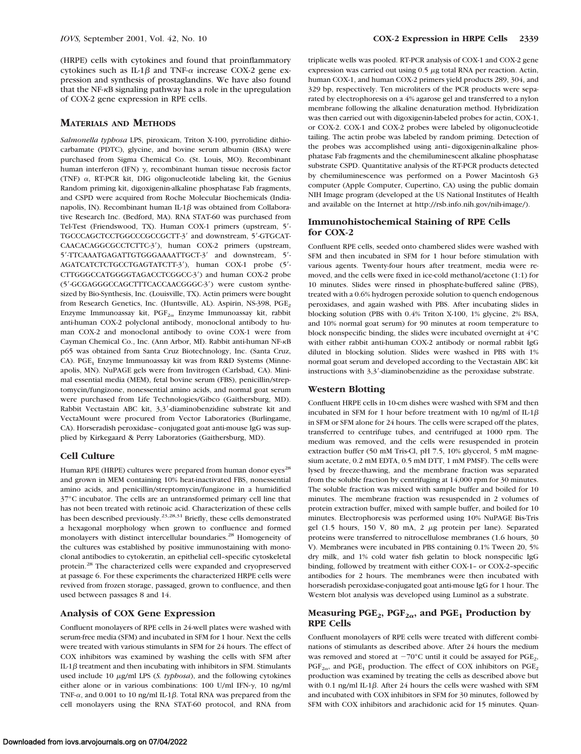(HRPE) cells with cytokines and found that proinflammatory cytokines such as IL-1 $\beta$  and TNF- $\alpha$  increase COX-2 gene expression and synthesis of prostaglandins. We have also found that the NF-kB signaling pathway has a role in the upregulation of COX-2 gene expression in RPE cells.

#### **MATERIALS AND METHODS**

*Salmonella typhosa* LPS, piroxicam, Triton X-100, pyrrolidine dithiocarbamate (PDTC), glycine, and bovine serum albumin (BSA) were purchased from Sigma Chemical Co. (St. Louis, MO). Recombinant human interferon (IFN)  $\gamma$ , recombinant human tissue necrosis factor (TNF)  $\alpha$ , RT-PCR kit, DIG oligonucleotide labeling kit, the Genius Random priming kit, digoxigenin-alkaline phosphatase Fab fragments, and CSPD were acquired from Roche Molecular Biochemicals (Indianapolis, IN). Recombinant human IL-1 $\beta$  was obtained from Collaborative Research Inc. (Bedford, MA). RNA STAT-60 was purchased from Tel-Test (Friendswood, TX). Human COX-1 primers (upstream, 5'-TGCCCAGCTCCTGGCCCGCCGCTT-3' and downstream, 5'-GTGCAT-CAACACAGGCGCCTCTTC-3'), human COX-2 primers (upstream, 5'-TTCAAATGAGATTGTGGGAAAATTGCT-3' and downstream, 5'-AGATCATCTCTGCCTGAGTATCTT-3'), human COX-1 probe (5'-CTTGGGCCATGGGGTAGACCTCGGCC-3') and human COX-2 probe (5'-GCGAGGGCCAGCTTTCACCAACGGGC-3') were custom synthesized by Bio-Synthesis, Inc. (Louisville, TX). Actin primers were bought from Research Genetics, Inc. (Huntsville, AL). Aspirin, NS-398, PGE<sub>2</sub> Enzyme Immunoassay kit,  $PGF_{2\alpha}$  Enzyme Immunoassay kit, rabbit anti-human COX-2 polyclonal antibody, monoclonal antibody to human COX-2 and monoclonal antibody to ovine COX-1 were from Cayman Chemical Co., Inc. (Ann Arbor, MI). Rabbit anti-human NF-kB p65 was obtained from Santa Cruz Biotechnology, Inc. (Santa Cruz, CA). PGE<sub>1</sub> Enzyme Immunoassay kit was from R&D Systems (Minneapolis, MN). NuPAGE gels were from Invitrogen (Carlsbad, CA). Minimal essential media (MEM), fetal bovine serum (FBS), penicillin/streptomycin/fungizone, nonessential amino acids, and normal goat serum were purchased from Life Technologies/Gibco (Gaithersburg, MD). Rabbit Vectastain ABC kit, 3,3'-diaminobenzidine substrate kit and VectaMount were procured from Vector Laboratories (Burlingame, CA). Horseradish peroxidase–conjugated goat anti-mouse IgG was supplied by Kirkegaard & Perry Laboratories (Gaithersburg, MD).

#### **Cell Culture**

Human RPE (HRPE) cultures were prepared from human donor eyes<sup>28</sup> and grown in MEM containing 10% heat-inactivated FBS, nonessential amino acids, and penicillin/streptomycin/fungizone in a humidified 37°C incubator. The cells are an untransformed primary cell line that has not been treated with retinoic acid. Characterization of these cells has been described previously.<sup>23,28,31</sup> Briefly, these cells demonstrated a hexagonal morphology when grown to confluence and formed monolayers with distinct intercellular boundaries.28 Homogeneity of the cultures was established by positive immunostaining with monoclonal antibodies to cytokeratin, an epithelial cell–specific cytoskeletal protein.<sup>28</sup> The characterized cells were expanded and cryopreserved at passage 6. For these experiments the characterized HRPE cells were revived from frozen storage, passaged, grown to confluence, and then used between passages 8 and 14.

#### **Analysis of COX Gene Expression**

Confluent monolayers of RPE cells in 24-well plates were washed with serum-free media (SFM) and incubated in SFM for 1 hour. Next the cells were treated with various stimulants in SFM for 24 hours. The effect of COX inhibitors was examined by washing the cells with SFM after IL-1 $\beta$  treatment and then incubating with inhibitors in SFM. Stimulants used include 10  $\mu$ g/ml LPS (*S. typhosa*), and the following cytokines either alone or in various combinations: 100 U/ml IFN- $\gamma$ , 10 ng/ml TNF- $\alpha$ , and 0.001 to 10 ng/ml IL-1 $\beta$ . Total RNA was prepared from the cell monolayers using the RNA STAT-60 protocol, and RNA from

triplicate wells was pooled. RT-PCR analysis of COX-1 and COX-2 gene expression was carried out using  $0.5 \mu$ g total RNA per reaction. Actin, human COX-1, and human COX-2 primers yield products 289, 304, and 329 bp, respectively. Ten microliters of the PCR products were separated by electrophoresis on a 4% agarose gel and transferred to a nylon membrane following the alkaline denaturation method. Hybridization was then carried out with digoxigenin-labeled probes for actin, COX-1, or COX-2. COX-1 and COX-2 probes were labeled by oligonucleotide tailing. The actin probe was labeled by random priming. Detection of the probes was accomplished using anti–digoxigenin-alkaline phosphatase Fab fragments and the chemiluminescent alkaline phosphatase substrate CSPD. Quantitative analysis of the RT-PCR products detected by chemiluminescence was performed on a Power Macintosh G3 computer (Apple Computer, Cupertino, CA) using the public domain NIH Image program (developed at the US National Institutes of Health and available on the Internet at http://rsb.info.nih.gov/nih-image/).

## **Immunohistochemical Staining of RPE Cells for COX-2**

Confluent RPE cells, seeded onto chambered slides were washed with SFM and then incubated in SFM for 1 hour before stimulation with various agents. Twenty-four hours after treatment, media were removed, and the cells were fixed in ice-cold methanol/acetone (1:1) for 10 minutes. Slides were rinsed in phosphate-buffered saline (PBS), treated with a 0.6% hydrogen peroxide solution to quench endogenous peroxidases, and again washed with PBS. After incubating slides in blocking solution (PBS with 0.4% Triton X-100, 1% glycine, 2% BSA, and 10% normal goat serum) for 90 minutes at room temperature to block nonspecific binding, the slides were incubated overnight at 4°C with either rabbit anti-human COX-2 antibody or normal rabbit IgG diluted in blocking solution. Slides were washed in PBS with 1% normal goat serum and developed according to the Vectastain ABC kit instructions with  $3,3'$ -diaminobenzidine as the peroxidase substrate.

#### **Western Blotting**

Confluent HRPE cells in 10-cm dishes were washed with SFM and then incubated in SFM for 1 hour before treatment with 10 ng/ml of IL-1 $\beta$ in SFM or SFM alone for 24 hours. The cells were scraped off the plates, transferred to centrifuge tubes, and centrifuged at 1000 rpm. The medium was removed, and the cells were resuspended in protein extraction buffer (50 mM Tris-Cl, pH 7.5, 10% glycerol, 5 mM magnesium acetate, 0.2 mM EDTA, 0.5 mM DTT, 1 mM PMSF). The cells were lysed by freeze-thawing, and the membrane fraction was separated from the soluble fraction by centrifuging at 14,000 rpm for 30 minutes. The soluble fraction was mixed with sample buffer and boiled for 10 minutes. The membrane fraction was resuspended in 2 volumes of protein extraction buffer, mixed with sample buffer, and boiled for 10 minutes. Electrophoresis was performed using 10% NuPAGE Bis-Tris gel (1.5 hours, 150 V, 80 mA, 2 <sup>m</sup>g protein per lane). Separated proteins were transferred to nitrocellulose membranes (1.6 hours, 30 V). Membranes were incubated in PBS containing 0.1% Tween 20, 5% dry milk, and 1% cold water fish gelatin to block nonspecific IgG binding, followed by treatment with either COX-1– or COX-2–specific antibodies for 2 hours. The membranes were then incubated with horseradish peroxidase-conjugated goat anti-mouse IgG for 1 hour. The Western blot analysis was developed using Luminol as a substrate.

## **Measuring PGE<sub>2</sub>, PGF<sub>2** $\alpha$ **</sub>, and PGE<sub>1</sub> Production by RPE Cells**

Confluent monolayers of RPE cells were treated with different combinations of stimulants as described above. After 24 hours the medium was removed and stored at  $-70^{\circ}$ C until it could be assayed for PGE<sub>2</sub>,  $PGF_{2\alpha}$ , and  $PGE_1$  production. The effect of COX inhibitors on  $PGE_2$ production was examined by treating the cells as described above but with 0.1 ng/ml IL-1 $\beta$ . After 24 hours the cells were washed with SFM and incubated with COX inhibitors in SFM for 30 minutes, followed by SFM with COX inhibitors and arachidonic acid for 15 minutes. Quan-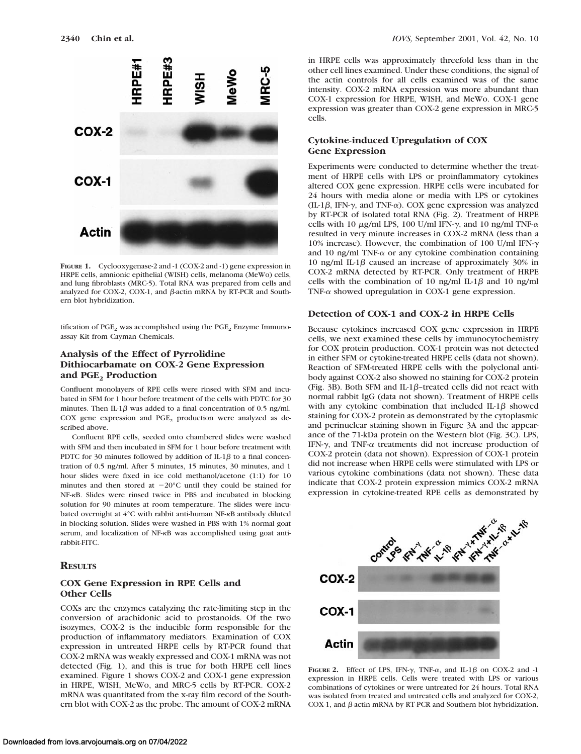

**FIGURE 1.** Cyclooxygenase-2 and -1 (COX-2 and -1) gene expression in HRPE cells, amnionic epithelial (WISH) cells, melanoma (MeWo) cells, and lung fibroblasts (MRC-5). Total RNA was prepared from cells and analyzed for COX-2, COX-1, and  $\beta$ -actin mRNA by RT-PCR and Southern blot hybridization.

tification of  $PGE_2$  was accomplished using the  $PGE_2$  Enzyme Immunoassay Kit from Cayman Chemicals.

## **Analysis of the Effect of Pyrrolidine Dithiocarbamate on COX-2 Gene Expression** and PGE<sub>2</sub> Production

Confluent monolayers of RPE cells were rinsed with SFM and incubated in SFM for 1 hour before treatment of the cells with PDTC for 30 minutes. Then IL-1 $\beta$  was added to a final concentration of 0.5 ng/ml. COX gene expression and PGE<sub>2</sub> production were analyzed as described above.

Confluent RPE cells, seeded onto chambered slides were washed with SFM and then incubated in SFM for 1 hour before treatment with PDTC for 30 minutes followed by addition of IL-1 $\beta$  to a final concentration of 0.5 ng/ml. After 5 minutes, 15 minutes, 30 minutes, and 1 hour slides were fixed in ice cold methanol/acetone (1:1) for 10 minutes and then stored at  $-20^{\circ}$ C until they could be stained for NF-kB. Slides were rinsed twice in PBS and incubated in blocking solution for 90 minutes at room temperature. The slides were incubated overnight at 4°C with rabbit anti-human NF-kB antibody diluted in blocking solution. Slides were washed in PBS with 1% normal goat serum, and localization of NF- $\kappa$ B was accomplished using goat antirabbit-FITC.

#### **RESULTS**

#### **COX Gene Expression in RPE Cells and Other Cells**

COXs are the enzymes catalyzing the rate-limiting step in the conversion of arachidonic acid to prostanoids. Of the two isozymes, COX-2 is the inducible form responsible for the production of inflammatory mediators. Examination of COX expression in untreated HRPE cells by RT-PCR found that COX-2 mRNA was weakly expressed and COX-1 mRNA was not detected (Fig. 1), and this is true for both HRPE cell lines examined. Figure 1 shows COX-2 and COX-1 gene expression in HRPE, WISH, MeWo, and MRC-5 cells by RT-PCR. COX-2 mRNA was quantitated from the x-ray film record of the Southern blot with COX-2 as the probe. The amount of COX-2 mRNA in HRPE cells was approximately threefold less than in the other cell lines examined. Under these conditions, the signal of the actin controls for all cells examined was of the same intensity. COX-2 mRNA expression was more abundant than COX-1 expression for HRPE, WISH, and MeWo. COX-1 gene expression was greater than COX-2 gene expression in MRC-5 cells.

#### **Cytokine-induced Upregulation of COX Gene Expression**

Experiments were conducted to determine whether the treatment of HRPE cells with LPS or proinflammatory cytokines altered COX gene expression. HRPE cells were incubated for 24 hours with media alone or media with LPS or cytokines (IL-1 $\beta$ , IFN- $\gamma$ , and TNF- $\alpha$ ). COX gene expression was analyzed by RT-PCR of isolated total RNA (Fig. 2). Treatment of HRPE cells with 10  $\mu$ g/ml LPS, 100 U/ml IFN- $\gamma$ , and 10 ng/ml TNF- $\alpha$ resulted in very minute increases in COX-2 mRNA (less than a 10% increase). However, the combination of 100 U/ml IFN-<sup>g</sup> and 10 ng/ml TNF- $\alpha$  or any cytokine combination containing 10 ng/ml IL-1 $\beta$  caused an increase of approximately 30% in COX-2 mRNA detected by RT-PCR. Only treatment of HRPE cells with the combination of 10 ng/ml IL-1 $\beta$  and 10 ng/ml TNF-<sup>a</sup> showed upregulation in COX-1 gene expression.

#### **Detection of COX-1 and COX-2 in HRPE Cells**

Because cytokines increased COX gene expression in HRPE cells, we next examined these cells by immunocytochemistry for COX protein production. COX-1 protein was not detected in either SFM or cytokine-treated HRPE cells (data not shown). Reaction of SFM-treated HRPE cells with the polyclonal antibody against COX-2 also showed no staining for COX-2 protein (Fig. 3B). Both SFM and IL-1 $\beta$ -treated cells did not react with normal rabbit IgG (data not shown). Treatment of HRPE cells with any cytokine combination that included IL-1 $\beta$  showed staining for COX-2 protein as demonstrated by the cytoplasmic and perinuclear staining shown in Figure 3A and the appearance of the 71-kDa protein on the Western blot (Fig. 3C). LPS, IFN- $\gamma$ , and TNF- $\alpha$  treatments did not increase production of COX-2 protein (data not shown). Expression of COX-1 protein did not increase when HRPE cells were stimulated with LPS or various cytokine combinations (data not shown). These data indicate that COX-2 protein expression mimics COX-2 mRNA expression in cytokine-treated RPE cells as demonstrated by



**FIGURE 2.** Effect of LPS, IFN- $\gamma$ , TNF- $\alpha$ , and IL-1 $\beta$  on COX-2 and -1 expression in HRPE cells. Cells were treated with LPS or various combinations of cytokines or were untreated for 24 hours. Total RNA was isolated from treated and untreated cells and analyzed for COX-2, COX-1, and  $\beta$ -actin mRNA by RT-PCR and Southern blot hybridization.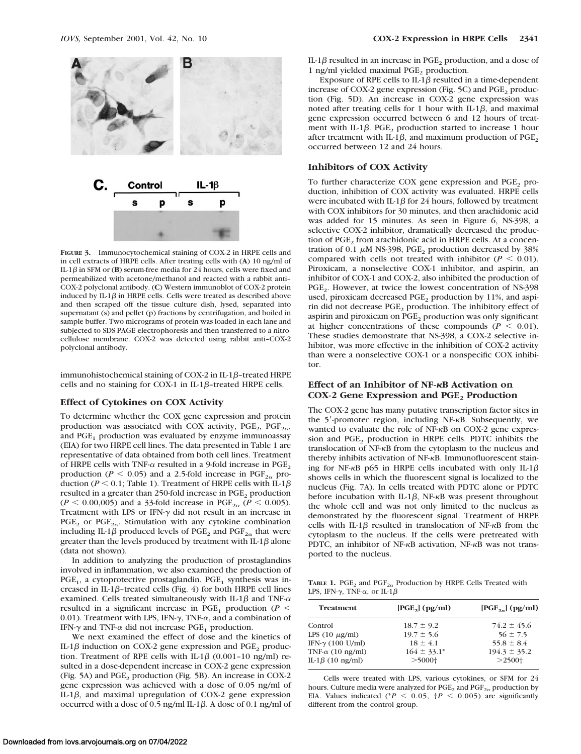

**FIGURE 3.** Immunocytochemical staining of COX-2 in HRPE cells and in cell extracts of HRPE cells. After treating cells with (**A**) 10 ng/ml of IL-1 $\beta$  in SFM or (**B**) serum-free media for 24 hours, cells were fixed and permeabilized with acetone/methanol and reacted with a rabbit anti– COX-2 polyclonal antibody. (**C**) Western immunoblot of COX-2 protein induced by IL-1 $\beta$  in HRPE cells. Cells were treated as described above and then scraped off the tissue culture dish, lysed, separated into supernatant (s) and pellet (p) fractions by centrifugation, and boiled in sample buffer. Two micrograms of protein was loaded in each lane and subjected to SDS-PAGE electrophoresis and then transferred to a nitrocellulose membrane. COX-2 was detected using rabbit anti–COX-2 polyclonal antibody.

immunohistochemical staining of COX-2 in IL-1 $\beta$ -treated HRPE cells and no staining for COX-1 in IL-1 $\beta$ -treated HRPE cells.

#### **Effect of Cytokines on COX Activity**

To determine whether the COX gene expression and protein production was associated with COX activity,  $PGE_2$ ,  $PGF_{2\alpha}$ , and  $PGE<sub>1</sub>$  production was evaluated by enzyme immunoassay (EIA) for two HRPE cell lines. The data presented in Table 1 are representative of data obtained from both cell lines. Treatment of HRPE cells with TNF- $\alpha$  resulted in a 9-fold increase in PGE<sub>2</sub> production ( $P \le 0.05$ ) and a 2.5-fold increase in PGF<sub>2 $\alpha$ </sub> production ( $P \le 0.1$ ; Table 1). Treatment of HRPE cells with IL-1 $\beta$ resulted in a greater than 250-fold increase in  $\mathrm{PGE}_2$  production  $(P < 0.00,005)$  and a 33-fold increase in PGF<sub>2a</sub> ( $P < 0.005$ ). Treatment with LPS or IFN- $\gamma$  did not result in an increase in  $PGE_2$  or  $PGF_{2\alpha}$ . Stimulation with any cytokine combination including IL-1 $\beta$  produced levels of PGE<sub>2</sub> and PGF<sub>2 $\alpha$ </sub> that were greater than the levels produced by treatment with IL-1 $\beta$  alone (data not shown).

In addition to analyzing the production of prostaglandins involved in inflammation, we also examined the production of  $PGE<sub>1</sub>$ , a cytoprotective prostaglandin.  $PGE<sub>1</sub>$  synthesis was increased in IL-1 $\beta$ -treated cells (Fig. 4) for both HRPE cell lines examined. Cells treated simultaneously with IL-1 $\beta$  and TNF- $\alpha$ resulted in a significant increase in PGE<sub>1</sub> production ( $P$  < 0.01). Treatment with LPS, IFN- $\gamma$ , TNF- $\alpha$ , and a combination of IFN- $\gamma$  and TNF- $\alpha$  did not increase PGE<sub>1</sub> production.

We next examined the effect of dose and the kinetics of IL-1 $\beta$  induction on COX-2 gene expression and PGE<sub>2</sub> production. Treatment of RPE cells with IL-1 $\beta$  (0.001–10 ng/ml) resulted in a dose-dependent increase in COX-2 gene expression (Fig. 5A) and  $PGE_2$  production (Fig. 5B). An increase in COX-2 gene expression was achieved with a dose of 0.05 ng/ml of IL-1 $\beta$ , and maximal upregulation of COX-2 gene expression occurred with a dose of 0.5 ng/ml IL-1 $\beta$ . A dose of 0.1 ng/ml of

IL-1 $\beta$  resulted in an increase in PGE<sub>2</sub> production, and a dose of 1 ng/ml yielded maximal PGE<sub>2</sub> production.

Exposure of RPE cells to IL-1 $\beta$  resulted in a time-dependent increase of COX-2 gene expression (Fig.  $5C$ ) and  $PGE<sub>2</sub>$  production (Fig. 5D). An increase in COX-2 gene expression was noted after treating cells for 1 hour with IL-1 $\beta$ , and maximal gene expression occurred between 6 and 12 hours of treatment with IL-1 $\beta$ . PGE<sub>2</sub> production started to increase 1 hour after treatment with IL-1 $\beta$ , and maximum production of PGE<sub>2</sub> occurred between 12 and 24 hours.

#### **Inhibitors of COX Activity**

To further characterize COX gene expression and  $PGE<sub>2</sub>$  production, inhibition of COX activity was evaluated. HRPE cells were incubated with IL-1 $\beta$  for 24 hours, followed by treatment with COX inhibitors for 30 minutes, and then arachidonic acid was added for 15 minutes. As seen in Figure 6, NS-398, a selective COX-2 inhibitor, dramatically decreased the production of PGE<sub>2</sub> from arachidonic acid in HRPE cells. At a concentration of 0.1  $\mu$ M NS-398, PGE<sub>2</sub> production decreased by 38% compared with cells not treated with inhibitor ( $P < 0.01$ ). Piroxicam, a nonselective COX-1 inhibitor, and aspirin, an inhibitor of COX-1 and COX-2, also inhibited the production of PGE<sub>2</sub>. However, at twice the lowest concentration of NS-398 used, piroxicam decreased  $PGE_2$  production by 11%, and aspirin did not decrease PGE<sub>2</sub> production. The inhibitory effect of aspirin and piroxicam on  $PGE<sub>2</sub>$  production was only significant at higher concentrations of these compounds  $(P \le 0.01)$ . These studies demonstrate that NS-398, a COX-2 selective inhibitor, was more effective in the inhibition of COX-2 activity than were a nonselective COX-1 or a nonspecific COX inhibitor.

## **Effect of an Inhibitor of NF-**k**B Activation on COX-2 Gene Expression and PGE<sub>2</sub> Production**

The COX-2 gene has many putative transcription factor sites in the  $5'$ -promoter region, including NF- $\kappa$ B. Subsequently, we wanted to evaluate the role of NF-kB on COX-2 gene expression and  $PGE_2$  production in HRPE cells. PDTC inhibits the translocation of NF-kB from the cytoplasm to the nucleus and thereby inhibits activation of NF-kB. Immunofluorescent staining for NF- $\kappa$ B p65 in HRPE cells incubated with only IL-1 $\beta$ shows cells in which the fluorescent signal is localized to the nucleus (Fig. 7A). In cells treated with PDTC alone or PDTC before incubation with IL-1 $\beta$ , NF- $\kappa$ B was present throughout the whole cell and was not only limited to the nucleus as demonstrated by the fluorescent signal. Treatment of HRPE cells with IL-1 $\beta$  resulted in translocation of NF- $\kappa$ B from the cytoplasm to the nucleus. If the cells were pretreated with PDTC, an inhibitor of NF- $\kappa$ B activation, NF- $\kappa$ B was not transported to the nucleus.

**TABLE 1.** PGE<sub>2</sub> and PGF<sub>2 $\alpha$ </sub> Production by HRPE Cells Treated with LPS, IFN- $\gamma$ , TNF- $\alpha$ , or IL-1 $\beta$ 

| <b>Treatment</b>         | $[PGE_2](pg/ml)$     | $[PGF_{2\alpha}]$ (pg/ml) |
|--------------------------|----------------------|---------------------------|
| Control                  | $18.7 \pm 9.2$       | $74.2 \pm 45.6$           |
| LPS $(10 \mu g/ml)$      | $19.7 \pm 5.6$       | $56 \pm 7.5$              |
| IFN- $\gamma$ (100 U/ml) | $18 + 41$            | $55.8 \pm 8.4$            |
| TNF- $\alpha$ (10 ng/ml) | $164 \pm 33.1^*$     | $194.3 \pm 35.2$          |
| IL-1 $\beta$ (10 ng/ml)  | $>5000$ <sup>+</sup> | $>2500+$                  |

Cells were treated with LPS, various cytokines, or SFM for 24 hours. Culture media were analyzed for  $PGE_2$  and  $PGF_{2\alpha}$  production by EIA. Values indicated (\* $P$  < 0.05,  $\uparrow P$  < 0.005) are significantly different from the control group.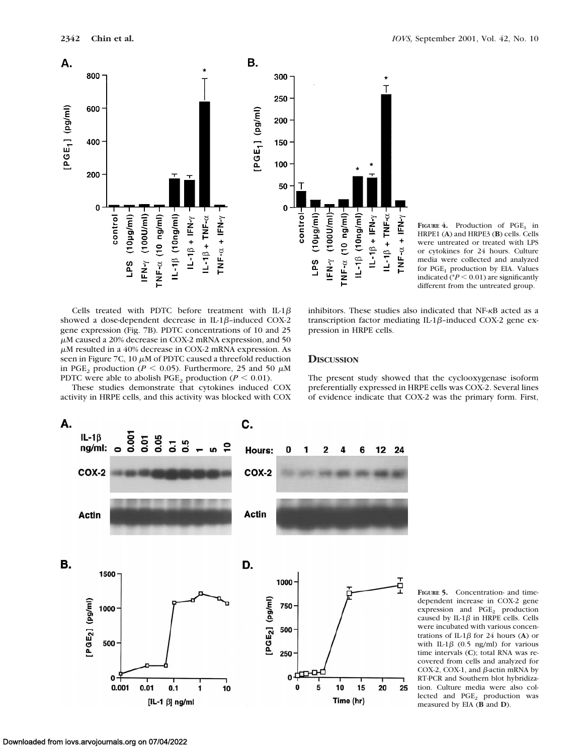

**FIGURE 4.** Production of  $PGE_1$  in HRPE1 (**A**) and HRPE3 (**B**) cells. Cells were untreated or treated with LPS or cytokines for 24 hours. Culture media were collected and analyzed for  $PGE_1$  production by EIA. Values indicated ( $P < 0.01$ ) are significantly different from the untreated group.

Cells treated with PDTC before treatment with IL-1 $\beta$ showed a dose-dependent decrease in IL-1 $\beta$ -induced COX-2 gene expression (Fig. 7B). PDTC concentrations of 10 and 25  $\mu$ M caused a 20% decrease in COX-2 mRNA expression, and 50  $\mu$ M resulted in a 40% decrease in COX-2 mRNA expression. As seen in Figure 7C, 10  $\mu$ M of PDTC caused a threefold reduction in PGE<sub>2</sub> production ( $P < 0.05$ ). Furthermore, 25 and 50  $\mu$ M PDTC were able to abolish PGE<sub>2</sub> production ( $P < 0.01$ ).

These studies demonstrate that cytokines induced COX activity in HRPE cells, and this activity was blocked with COX

inhibitors. These studies also indicated that NF-kB acted as a transcription factor mediating IL-1 $\beta$ -induced COX-2 gene expression in HRPE cells.

## **DISCUSSION**

А. C.  $IL-1\beta$ **80.0** 0.05 0.01 ះ  $\overline{5}$ ≘ ng/ml: Hours:  $\overline{2}$ 6 12 24 Ω COX-2 COX-2 Actin **Actin** В. D. 1500 1000 모 [ $PGE_2$ ] ( $pg/ml$ ) [PGE<sub>2</sub>] (pg/ml) 750 1000 500 500 250  $\mathbf{0}$  $\mathbf{0}$ 5  $0.01$ 0 10 15 0.001  $0.1$ 20 10 25 1 Time (hr)  $[IL-1 \beta]$  ng/ml

preferentially expressed in HRPE cells was COX-2. Several lines of evidence indicate that COX-2 was the primary form. First,

The present study showed that the cyclooxygenase isoform

**FIGURE 5.** Concentration- and timedependent increase in COX-2 gene expression and PGE<sub>2</sub> production caused by IL-1 $\beta$  in HRPE cells. Cells were incubated with various concentrations of IL-1 $\beta$  for 24 hours (A) or with IL-1 $\beta$  (0.5 ng/ml) for various time intervals (**C**); total RNA was recovered from cells and analyzed for COX-2, COX-1, and  $\beta$ -actin mRNA by RT-PCR and Southern blot hybridization. Culture media were also collected and  $PGE<sub>2</sub>$  production was measured by EIA (**B** and **D**).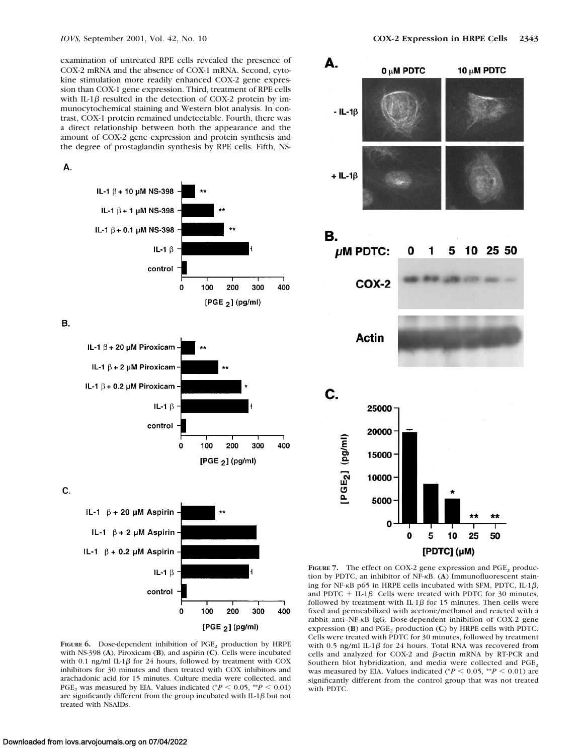examination of untreated RPE cells revealed the presence of COX-2 mRNA and the absence of COX-1 mRNA. Second, cytokine stimulation more readily enhanced COX-2 gene expression than COX-1 gene expression. Third, treatment of RPE cells with IL-1 $\beta$  resulted in the detection of COX-2 protein by immunocytochemical staining and Western blot analysis. In contrast, COX-1 protein remained undetectable. Fourth, there was a direct relationship between both the appearance and the amount of COX-2 gene expression and protein synthesis and the degree of prostaglandin synthesis by RPE cells. Fifth, NS-



IL-1  $\beta$  + 20 µM Piroxicam IL-1  $\beta$  + 2 µM Piroxicam IL-1  $\beta$  + 0.2 µM Piroxicam IL-1 $\beta$ control  $\mathbf 0$ 100 200 300 400

[PGE  $_{2}$ ] (pg/ml)

C.

Α.

В.



**FIGURE 6.** Dose-dependent inhibition of PGE<sub>2</sub> production by HRPE with NS-398 (**A**), Piroxicam (**B**), and aspirin (**C**). Cells were incubated with 0.1 ng/ml IL-1 $\beta$  for 24 hours, followed by treatment with COX inhibitors for 30 minutes and then treated with COX inhibitors and arachadonic acid for 15 minutes. Culture media were collected, and PGE<sub>2</sub> was measured by EIA. Values indicated (\* $P \le 0.05$ , \*\* $P \le 0.01$ ) are significantly different from the group incubated with IL-1 $\beta$  but not treated with NSAIDs.



**FIGURE 7.** The effect on COX-2 gene expression and  $PGE_2$  production by PDTC, an inhibitor of NF-kB. (**A**) Immunofluorescent staining for NF- $\kappa$ B p65 in HRPE cells incubated with SFM, PDTC, IL-1 $\beta$ , and PDTC  $+$  IL-1 $\beta$ . Cells were treated with PDTC for 30 minutes, followed by treatment with IL-1 $\beta$  for 15 minutes. Then cells were fixed and permeabilized with acetone/methanol and reacted with a rabbit anti–NF-kB IgG. Dose-dependent inhibition of COX-2 gene expression (**B**) and PGE<sub>2</sub> production (**C**) by HRPE cells with PDTC. Cells were treated with PDTC for 30 minutes, followed by treatment with 0.5 ng/ml IL-1 $\beta$  for 24 hours. Total RNA was recovered from cells and analyzed for COX-2 and  $\beta$ -actin mRNA by RT-PCR and Southern blot hybridization, and media were collected and PGE<sub>2</sub> was measured by EIA. Values indicated ( $P < 0.05$ ,  $P < 0.01$ ) are significantly different from the control group that was not treated with PDTC.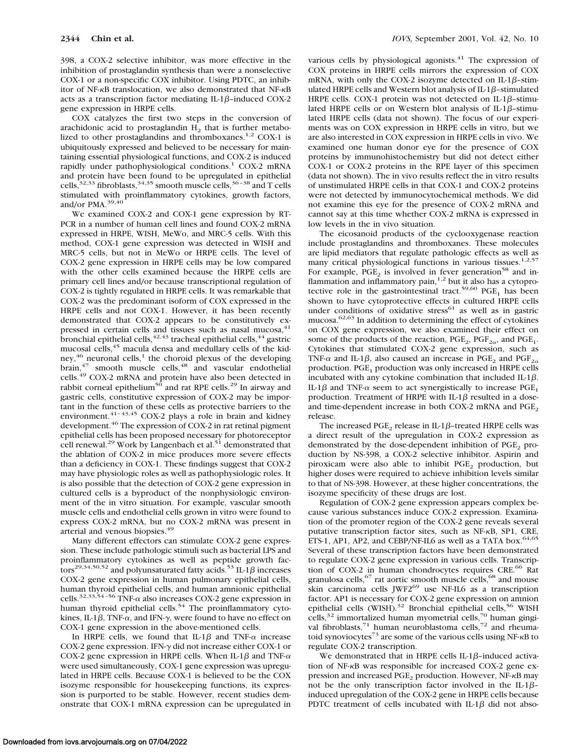398, a COX-2 selective inhibitor, was more effective in the inhibition of prostaglandin synthesis than were a nonselective COX-1 or a non-specific COX inhibitor. Using PDTC, an inhibitor of NF-kB translocation, we also demonstrated that NF-kB acts as a transcription factor mediating IL-1 $\beta$ -induced COX-2 gene expression in HRPE cells.

COX catalyzes the first two steps in the conversion of arachidonic acid to prostaglandin  $H_2$  that is further metabolized to other prostaglandins and thromboxanes.<sup>1,2</sup> COX-1 is ubiquitously expressed and believed to be necessary for maintaining essential physiological functions, and COX-2 is induced rapidly under pathophysiological conditions.<sup>1</sup> COX-2 mRNA and protein have been found to be upregulated in epithelial cells,  $32,33$  fibroblasts,  $34,35$  smooth muscle cells,  $36-38$  and T cells stimulated with proinflammatory cytokines, growth factors, and/or PMA.<sup>39,40</sup>

We examined COX-2 and COX-1 gene expression by RT-PCR in a number of human cell lines and found COX-2 mRNA expressed in HRPE, WISH, MeWo, and MRC-5 cells. With this method, COX-1 gene expression was detected in WISH and MRC-5 cells, but not in MeWo or HRPE cells. The level of COX-2 gene expression in HRPE cells may be low compared with the other cells examined because the HRPE cells are primary cell lines and/or because transcriptional regulation of COX-2 is tightly regulated in HRPE cells. It was remarkable that COX-2 was the predominant isoform of COX expressed in the HRPE cells and not COX-1. However, it has been recently demonstrated that COX-2 appears to be constitutively expressed in certain cells and tissues such as nasal mucosa, <sup>41</sup> bronchial epithelial cells,  $42,43$  tracheal epithelial cells,  $44$  gastric mucosal cells,<sup>45</sup> macula densa and medullary cells of the kidney,<sup>46</sup> neuronal cells,<sup>1</sup> the choroid plexus of the developing brain, $47$  smooth muscle cells, $48$  and vascular endothelial cells.<sup>49</sup> COX-2 mRNA and protein have also been detected in rabbit corneal epithelium<sup>50</sup> and rat RPE cells.<sup>29</sup> In airway and gastric cells, constitutive expression of COX-2 may be important in the function of these cells as protective barriers to the environment.<sup>41-43,45</sup> COX-2 plays a role in brain and kidney development.<sup>46</sup> The expression of COX-2 in rat retinal pigment epithelial cells has been proposed necessary for photoreceptor cell renewal.<sup>29</sup> Work by Langenbach et al.<sup>51</sup> demonstrated that the ablation of COX-2 in mice produces more severe effects than a deficiency in COX-1. These findings suggest that COX-2 may have physiologic roles as well as pathophysiologic roles. It is also possible that the detection of COX-2 gene expression in cultured cells is a byproduct of the nonphysiologic environment of the in vitro situation. For example, vascular smooth muscle cells and endothelial cells grown in vitro were found to express COX-2 mRNA, but no COX-2 mRNA was present in arterial and venous biopsies.<sup>49</sup>

Many different effectors can stimulate COX-2 gene expression. These include pathologic stimuli such as bacterial LPS and proinflammatory cytokines as well as peptide growth factors<sup>29,34,50,52</sup> and polyunsaturated fatty acids.<sup>53</sup> IL-1 $\beta$  increases COX-2 gene expression in human pulmonary epithelial cells, human thyroid epithelial cells, and human amnionic epithelial cells.<sup>32,33,54–56</sup> TNF- $\alpha$  also increases COX-2 gene expression in human thyroid epithelial cells.<sup>54</sup> The proinflammatory cytokines, IL-1 $\beta$ , TNF- $\alpha$ , and IFN- $\gamma$ , were found to have no effect on COX-1 gene expression in the above-mentioned cells.

In HRPE cells, we found that IL-1 $\beta$  and TNF- $\alpha$  increase COX-2 gene expression. IFN-<sup>g</sup> did not increase either COX-1 or COX-2 gene expression in HRPE cells. When IL-1 $\beta$  and TNF- $\alpha$ were used simultaneously, COX-1 gene expression was upregulated in HRPE cells. Because COX-1 is believed to be the COX isozyme responsible for housekeeping functions, its expression is purported to be stable. However, recent studies demonstrate that COX-1 mRNA expression can be upregulated in

various cells by physiological agonists. $^{41}$  The expression of COX proteins in HRPE cells mirrors the expression of COX mRNA, with only the COX-2 isozyme detected on IL-1 $\beta$ -stimulated HRPE cells and Western blot analysis of IL-1 $\beta$ -stimulated HRPE cells. COX-1 protein was not detected on IL-1 $\beta$ -stimulated HRPE cells or on Western blot analysis of IL-1 $\beta$ -stimulated HRPE cells (data not shown). The focus of our experiments was on COX expression in HRPE cells in vitro, but we are also interested in COX expression in HRPE cells in vivo. We examined one human donor eye for the presence of COX proteins by immunohistochemistry but did not detect either COX-1 or COX-2 proteins in the RPE layer of this specimen (data not shown). The in vivo results reflect the in vitro results of unstimulated HRPE cells in that COX-1 and COX-2 proteins were not detected by immunocytochemical methods. We did not examine this eye for the presence of COX-2 mRNA and cannot say at this time whether COX-2 mRNA is expressed in low levels in the in vivo situation.

The eicosanoid products of the cyclooxygenase reaction include prostaglandins and thromboxanes. These molecules are lipid mediators that regulate pathologic effects as well as many critical physiological functions in various tissues.<sup>1,2,57</sup> For example,  $PGE_2$  is involved in fever generation<sup>58</sup> and inflammation and inflammatory pain, $1,2$  but it also has a cytoprotective role in the gastrointestinal tract.<sup>59,60</sup> PGE<sub>1</sub> has been shown to have cytoprotective effects in cultured HRPE cells under conditions of oxidative stress<sup>61</sup> as well as in gastric mucosa.<sup>62,63</sup> In addition to determining the effect of cytokines on COX gene expression, we also examined their effect on some of the products of the reaction,  $PGE_2$ ,  $PGF_{2\alpha}$ , and  $PGE_1$ . Cytokines that stimulated COX-2 gene expression, such as TNF- $\alpha$  and IL-1 $\beta$ , also caused an increase in PGE<sub>2</sub> and PGF<sub>2 $\alpha$ </sub> production.  $PGE<sub>1</sub>$  production was only increased in HRPE cells incubated with any cytokine combination that included IL-1 $\beta$ . IL-1 $\beta$  and TNF- $\alpha$  seem to act synergistically to increase PGE<sub>1</sub> production. Treatment of HRPE with IL-1 $\beta$  resulted in a doseand time-dependent increase in both COX-2 mRNA and  $PGE_2$ release.

The increased PGE<sub>2</sub> release in IL-1 $\beta$ -treated HRPE cells was a direct result of the upregulation in COX-2 expression as demonstrated by the dose-dependent inhibition of PGE<sub>2</sub> production by NS-398, a COX-2 selective inhibitor. Aspirin and piroxicam were also able to inhibit  $PGE_2$  production, but higher doses were required to achieve inhibition levels similar to that of NS-398. However, at these higher concentrations, the isozyme specificity of these drugs are lost.

Regulation of COX-2 gene expression appears complex because various substances induce COX-2 expression. Examination of the promoter region of the COX-2 gene reveals several putative transcription factor sites, such as NF-kB, SP1, CRE, ETS-1, AP1, AP2, and CEBP/NF-IL6 as well as a TATA box.  $64,65$ Several of these transcription factors have been demonstrated to regulate COX-2 gene expression in various cells. Transcription of COX-2 in human chondrocytes requires CRE.<sup>66</sup> Rat granulosa cells,<sup>67</sup> rat aortic smooth muscle cells,<sup>68</sup> and mouse skin carcinoma cells JWF2<sup>69</sup> use NF-IL6 as a transcription factor. AP1 is necessary for COX-2 gene expression on amnion epithelial cells (WISH).<sup>32</sup> Bronchial epithelial cells,<sup>56</sup> WISH  $cells$ ,<sup>32</sup> immortalized human myometrial cells,<sup>70</sup> human gingival fibroblasts, $71$  human neuroblastoma cells, $72$  and rheumatoid synoviocytes<sup>73</sup> are some of the various cells using NF- $\kappa$ B to regulate COX-2 transcription.

We demonstrated that in HRPE cells IL-1 $\beta$ -induced activation of NF-kB was responsible for increased COX-2 gene expression and increased PGE<sub>2</sub> production. However, NF-kB may not be the only transcription factor involved in the IL-1 $\beta$ – induced upregulation of the COX-2 gene in HRPE cells because PDTC treatment of cells incubated with IL-1 $\beta$  did not abso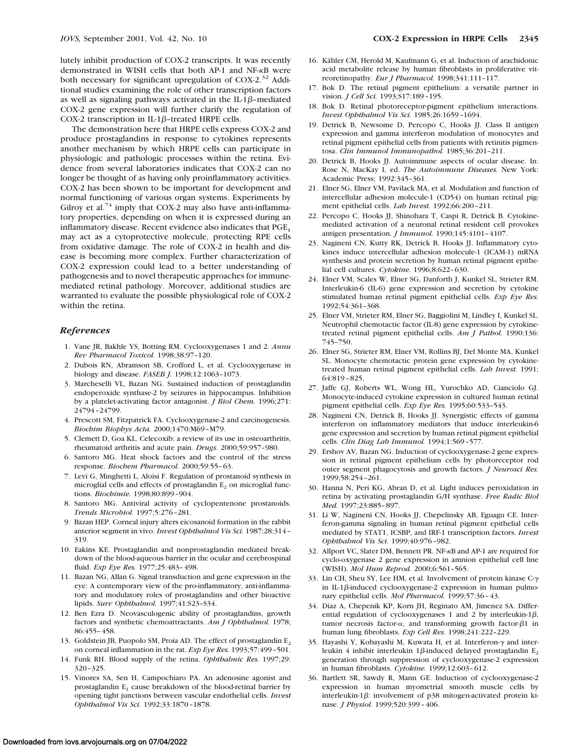lutely inhibit production of COX-2 transcripts. It was recently demonstrated in WISH cells that both AP-1 and NF-kB were both necessary for significant upregulation of COX-2.<sup>32</sup> Additional studies examining the role of other transcription factors as well as signaling pathways activated in the IL-1 $\beta$ -mediated COX-2 gene expression will further clarify the regulation of COX-2 transcription in IL-1 $\beta$ -treated HRPE cells.

The demonstration here that HRPE cells express COX-2 and produce prostaglandins in response to cytokines represents another mechanism by which HRPE cells can participate in physiologic and pathologic processes within the retina. Evidence from several laboratories indicates that COX-2 can no longer be thought of as having only proinflammatory activities. COX-2 has been shown to be important for development and normal functioning of various organ systems. Experiments by Gilroy et al.<sup>74</sup> imply that COX-2 may also have anti-inflammatory properties, depending on when it is expressed during an inflammatory disease. Recent evidence also indicates that  $PGE<sub>1</sub>$ may act as a cytoprotective molecule, protecting RPE cells from oxidative damage. The role of COX-2 in health and disease is becoming more complex. Further characterization of COX-2 expression could lead to a better understanding of pathogenesis and to novel therapeutic approaches for immunemediated retinal pathology. Moreover, additional studies are warranted to evaluate the possible physiological role of COX-2 within the retina.

#### *References*

- 1. Vane JR, Bakhle YS, Botting RM. Cyclooxygenases 1 and 2. *Annu Rev Pharmacol Toxicol.* 1998;38:97–120.
- 2. Dubois RN, Abramson SB, Crofford L, et al. Cyclooxygenase in biology and disease. *FASEB J.* 1998;12:1063–1073.
- 3. Marcheselli VL, Bazan NG. Sustained induction of prostaglandin endoperoxide synthase-2 by seizures in hippocampus. Inhibition by a platelet-activating factor antagonist. *J Biol Chem.* 1996;271: 24794–24799.
- 4. Prescott SM, Fitzpatrick FA. Cyclooxygenase-2 and carcinogenesis. *Biochim Biophys Acta.* 2000;1470:M69–M79.
- 5. Clemett D, Goa KL. Celecoxib: a review of its use in osteoarthritis, rheumatoid arthritis and acute pain. *Drugs.* 2000;59:957–980.
- 6. Santoro MG. Heat shock factors and the control of the stress response. *Biochem Pharmacol.* 2000;59:55–63.
- 7. Levi G, Minghetti L, Aloisi F. Regulation of prostanoid synthesis in microglial cells and effects of prostaglandin  $E<sub>2</sub>$  on microglial functions. *Biochimie.* 1998;80:899–904.
- 8. Santoro MG. Antiviral activity of cyclopentenone prostanoids. *Trends Microbiol.* 1997;5:276–281.
- 9. Bazan HEP. Corneal injury alters eicosanoid formation in the rabbit anterior segment in vivo. *Invest Ophthalmol Vis Sci.* 1987;28:314– 319.
- 10. Eakins KE. Prostaglandin and nonprostaglandin mediated breakdown of the blood-aqueous barrier in the ocular and cerebrospinal fluid. *Exp Eye Res.* 1977;25:483–498.
- 11. Bazan NG, Allan G. Signal transduction and gene expression in the eye: A contemporary view of the pro-inflammatory, anti-inflammatory and modulatory roles of prostaglandins and other bioactive lipids. *Surv Ophthalmol.* 1997;41:S23–S34.
- 12. Ben Ezra D. Neovasculogenic ability of prostaglandins, growth factors and synthetic chemoattractants. *Am J Ophthalmol.* 1978; 86:455–458.
- 13. Goldstein JB, Puopolo SM, Proia AD. The effect of prostaglandin E<sub>2</sub> on corneal inflammation in the rat. *Exp Eye Res.* 1993;57:499–501.
- 14. Funk RH. Blood supply of the retina. *Ophthalmic Res.* 1997;29: 320–325.
- 15. Vinores SA, Sen H, Campochiaro PA. An adenosine agonist and prostaglandin E, cause breakdown of the blood-retinal barrier by opening tight junctions between vascular endothelial cells. *Invest Ophthalmol Vis Sci.* 1992;33:1870–1878.
- 16. Kähler CM, Herold M, Kaufmann G, et al. Induction of arachidonic acid metabolite release by human fibroblasts in proliferative vitreoretinopathy. *Eur J Pharmacol.* 1998;341:111–117.
- 17. Bok D. The retinal pigment epithelium: a versatile partner in vision. *J Cell Sci.* 1993;S17:189–195.
- 18. Bok D. Retinal photoreceptor-pigment epithelium interactions. *Invest Ophthalmol Vis Sci.* 1985;26:1659–1694.
- 19. Detrick B, Newsome D, Percopo C, Hooks JJ. Class II antigen expression and gamma interferon modulation of monocytes and retinal pigment epithelial cells from patients with retinitis pigmentosa. *Clin Immunol Immunopathol.* 1985;36:201–211.
- 20. Detrick B, Hooks JJ. Autoimmune aspects of ocular disease. In: Rose N, MacKay I, ed. *The Autoimmune Diseases.* New York: Academic Press; 1992:345–361.
- 21. Elner SG, Elner VM, Pavilack MA, et al. Modulation and function of intercellular adhesion molecule-1 (CD54) on human retinal pigment epithelial cells. *Lab Invest.* 1992;66:200–211.
- 22. Percopo C, Hooks JJ, Shinohara T, Caspi R, Detrick B. Cytokinemediated activation of a neuronal retinal resident cell provokes antigen presentation. *J Immunol.* 1990;145:4101–4107.
- 23. Nagineni CN, Kutty RK, Detrick B, Hooks JJ. Inflammatory cytokines induce intercellular adhesion molecule-1 (ICAM-1) mRNA synthesis and protein secretion by human retinal pigment epithelial cell cultures. *Cytokine.* 1996;8:622–630.
- 24. Elner VM, Scales W, Elner SG, Danforth J, Kunkel SL, Strieter RM. Interleukin-6 (IL-6) gene expression and secretion by cytokine stimulated human retinal pigment epithelial cells. *Exp Eye Res.* 1992;54:361–368.
- 25. Elner VM, Strieter RM, Elner SG, Baggiolini M, Lindley I, Kunkel SL. Neutrophil chemotactic factor (IL-8) gene expression by cytokinetreated retinal pigment epithelial cells. *Am J Pathol.* 1990;136: 745–750.
- 26. Elner SG, Strieter RM, Elner VM, Rollins BJ, Del Monte MA, Kunkel SL. Monocyte chemotactic protein gene expression by cytokinetreated human retinal pigment epithelial cells. *Lab Invest.* 1991; 64:819–825.
- 27. Jaffe GJ, Roberts WL, Wong HL, Yurochko AD, Cianciolo GJ. Monocyte-induced cytokine expression in cultured human retinal pigment epithelial cells. *Exp Eye Res.* 1995;60:533–543.
- 28. Nagineni CN, Detrick B, Hooks JJ. Synergistic effects of gamma interferon on inflammatory mediators that induce interleukin-6 gene expression and secretion by human retinal pigment epithelial cells. *Clin Diag Lab Immunol.* 1994;1:569–577.
- 29. Ershov AV, Bazan NG. Induction of cyclooxygenase-2 gene expression in retinal pigment epithelium cells by photoreceptor rod outer segment phagocytosis and growth factors. *J Neurosci Res.* 1999;58:254–261.
- 30. Hanna N, Peri KG, Abran D, et al. Light induces peroxidation in retina by activating prostaglandin G/H synthase. *Free Radic Biol Med.* 1997;23:885–897.
- 31. Li W, Nagineni CN, Hooks JJ, Chepelinsky AB, Eguagu CE. Interferon-gamma signaling in human retinal pigment epithelial cells mediated by STAT1, ICSBP, and IRF-1 transcription factors. *Invest Ophthalmol Vis Sci.* 1999;40:976–982.
- 32. Allport VC, Slater DM, Bennett PR. NF-kB and AP-1 are required for cyclo-oxygenase 2 gene expression in amnion epithelial cell line (WISH). *Mol Hum Reprod.* 2000;6:561–565.
- 33. Lin CH, Sheu SY, Lee HM, et al. Involvement of protein kinase  $C-\gamma$ in IL-1 $\beta$ -induced cyclooxygenase-2 expression in human pulmonary epithelial cells. *Mol Pharmacol.* 1999;57:36–43.
- 34. Diaz A, Chepenik KP, Korn JH, Reginato AM, Jimenez SA. Differential regulation of cyclooxygenases 1 and 2 by interleukin-1 $\beta$ , tumor necrosis factor- $\alpha$ , and transforming growth factor- $\beta$ 1 in human lung fibroblasts. *Exp Cell Res.* 1998;241:222–229.
- 35. Hayashi Y, Kobayashi M, Kuwata H, et al. Interferon-<sup>g</sup> and interleukin 4 inhibit interleukin 1 $\beta$ -induced delayed prostaglandin E<sub>2</sub> generation through suppression of cyclooxygenase-2 expression in human fibroblasts. *Cytokine.* 1999;12:603–612.
- 36. Bartlett SR, Sawdy R, Mann GE. Induction of cyclooxygenase-2 expression in human myometrial smooth muscle cells by interleukin-1 $\beta$ : involvement of p38 mitogen-activated protein kinase. *J Physiol.* 1999;520:399–406.